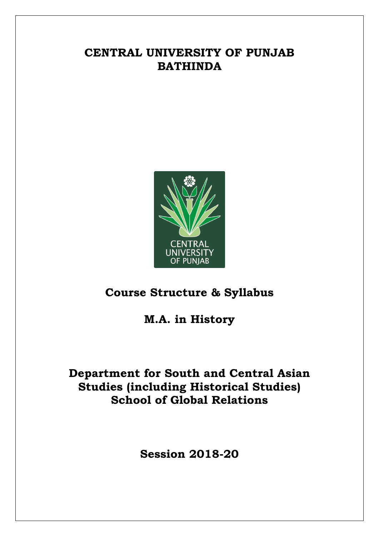# **CENTRAL UNIVERSITY OF PUNJAB BATHINDA**



# **Course Structure & Syllabus**

**M.A. in History**

# **Department for South and Central Asian Studies (including Historical Studies) School of Global Relations**

**Session 2018-20**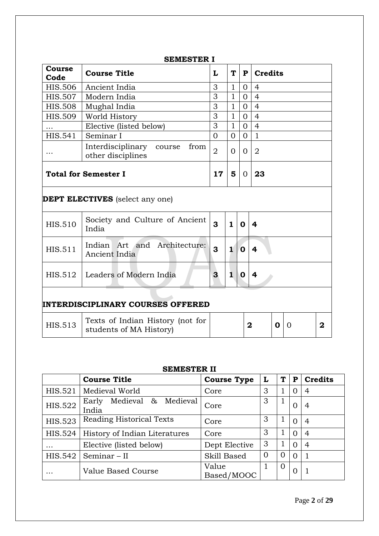### **SEMESTER I**

| <b>Course</b><br>Code                    | <b>Course Title</b>                                         | L                       | T            | ${\bf P}$      | <b>Credits</b>          |   |   |   |
|------------------------------------------|-------------------------------------------------------------|-------------------------|--------------|----------------|-------------------------|---|---|---|
| <b>HIS.506</b>                           | Ancient India                                               | 3                       | $\mathbf{1}$ | $\Omega$       | $\overline{4}$          |   |   |   |
| <b>HIS.507</b>                           | Modern India                                                | 3                       | $\mathbf{1}$ | $\Omega$       | $\overline{4}$          |   |   |   |
| <b>HIS.508</b>                           | Mughal India                                                | 3                       | $\mathbf{1}$ | $\Omega$       | $\overline{4}$          |   |   |   |
| <b>HIS.509</b>                           | World History                                               | 3                       | $\mathbf{1}$ | $\Omega$       | $\overline{4}$          |   |   |   |
|                                          | Elective (listed below)                                     | 3                       | $\mathbf{1}$ | $\overline{0}$ | $\overline{4}$          |   |   |   |
| HIS.541                                  | Seminar I                                                   | $\Omega$                | $\Omega$     | $\Omega$       | $\mathbf{1}$            |   |   |   |
|                                          | Interdisciplinary course<br>from<br>other disciplines       | $\overline{2}$          | $\Omega$     | $\overline{0}$ | $\overline{2}$          |   |   |   |
| <b>Total for Semester I</b>              | 17                                                          | 5                       | $\Omega$     | 23             |                         |   |   |   |
|                                          | <b>DEPT ELECTIVES</b> (select any one)                      |                         |              |                |                         |   |   |   |
| <b>HIS.510</b>                           | Society and Culture of Ancient<br>India                     | $\overline{\mathbf{3}}$ | $\mathbf{1}$ | $\mathbf 0$    | $\boldsymbol{4}$        |   |   |   |
| HIS.511                                  | Indian Art and Architecture:<br>Ancient India               | 3                       | $\mathbf 1$  | $\mathbf 0$    | $\overline{\mathbf{4}}$ |   |   |   |
| HIS.512                                  | Leaders of Modern India                                     | 3                       | 1            | $\mathbf 0$    | $\overline{\mathbf{4}}$ |   |   |   |
| <b>INTERDISCIPLINARY COURSES OFFERED</b> |                                                             |                         |              |                |                         |   |   |   |
| <b>HIS.513</b>                           | Texts of Indian History (not for<br>students of MA History) |                         |              | $\overline{2}$ |                         | O | 0 | 2 |

#### **SEMESTER II**

|                | <b>Course Title</b>                   | <b>Course Type</b>  | L | T | P        | <b>Credits</b> |
|----------------|---------------------------------------|---------------------|---|---|----------|----------------|
| HIS.521        | Medieval World                        | Core                | 3 |   | O        | 4              |
| <b>HIS.522</b> | Medieval & Medieval<br>Early<br>India | Core                | 3 |   | 0        | 4              |
| <b>HIS.523</b> | <b>Reading Historical Texts</b>       | Core                | 3 |   | 0        | 4              |
| HIS.524        | History of Indian Literatures         | Core                | 3 | 1 | $\Omega$ | $\overline{4}$ |
| $\cdots$       | Elective (listed below)               | Dept Elective       | 3 |   | $\Omega$ | $\overline{4}$ |
| HIS.542        | Seminar - II                          | Skill Based         | 0 | O | $\Omega$ |                |
| $\ddotsc$      | Value Based Course                    | Value<br>Based/MOOC |   | 0 | 0        |                |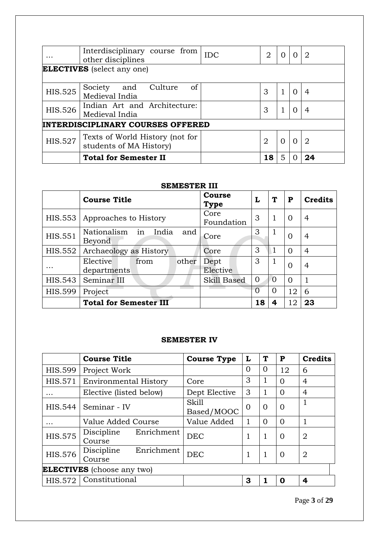|                                          | Interdisciplinary course from<br>other disciplines         | <b>IDC</b> | 2  |   |          | 2  |
|------------------------------------------|------------------------------------------------------------|------------|----|---|----------|----|
|                                          | <b>ELECTIVES</b> (select any one)                          |            |    |   |          |    |
| <b>HIS.525</b>                           | of<br>Society and<br>Culture<br>Medieval India             |            | 3  |   | $\Omega$ | 4  |
| <b>HIS.526</b>                           | Indian Art and Architecture:<br>Medieval India             |            | 3  |   |          | 4  |
| <b>INTERDISCIPLINARY COURSES OFFERED</b> |                                                            |            |    |   |          |    |
| <b>HIS.527</b>                           | Texts of World History (not for<br>students of MA History) |            | 2  | 0 | 0        | 2  |
|                                          | <b>Total for Semester II</b>                               |            | 18 |   |          | 24 |

### **SEMESTER III**

|                | <b>Course Title</b>                         | <b>Course</b><br><b>Type</b> | L        | ጥ        | P        | <b>Credits</b> |
|----------------|---------------------------------------------|------------------------------|----------|----------|----------|----------------|
| HIS.553        | Approaches to History                       | Core<br>Foundation           | 3        |          | $\Omega$ | 4              |
| HIS.551        | in<br>Nationalism<br>India<br>and<br>Beyond | Core                         | 3        |          | $\Omega$ | 4              |
| HIS.552        | Archaeology as History                      | Core                         | 3        |          | 0        | 4              |
| $\ddotsc$      | Elective<br>other<br>from<br>departments    | Dept<br>Elective             | 3        |          | $\Omega$ | 4              |
| HIS.543        | Seminar III                                 | Skill Based                  | 0        | $\Omega$ | 0        |                |
| <b>HIS.599</b> | Project                                     |                              | $\Omega$ | $\Omega$ | 12       | 6              |
|                | <b>Total for Semester III</b>               |                              | 18       |          | 12       | 23             |

### **SEMESTER IV**

|                | <b>Course Title</b>                | <b>Course Type</b>         | L        | ጥ | P        | <b>Credits</b> |
|----------------|------------------------------------|----------------------------|----------|---|----------|----------------|
| <b>HIS.599</b> | Project Work                       |                            | $\Omega$ | O | 12       | 6              |
| HIS.571        | <b>Environmental History</b>       | Core                       | 3        |   | 0        | 4              |
| $\ddotsc$      | Elective (listed below)            | Dept Elective              | 3        |   | $\Omega$ | 4              |
| HIS.544        | Seminar - IV                       | <b>Skill</b><br>Based/MOOC | $\Omega$ | Ω | $\Omega$ |                |
| $\ddotsc$      | Value Added Course                 | Value Added                |          | 0 | $\Omega$ |                |
| <b>HIS.575</b> | Enrichment<br>Discipline<br>Course | <b>DEC</b>                 |          |   | $\Omega$ | $\overline{2}$ |
| <b>HIS.576</b> | Enrichment<br>Discipline<br>Course | <b>DEC</b>                 |          | 1 | $\Omega$ | $\overline{2}$ |
|                | <b>ELECTIVES</b> (choose any two)  |                            |          |   |          |                |
| HIS.572        | Constitutional                     |                            | 3        |   | Ω        | 4              |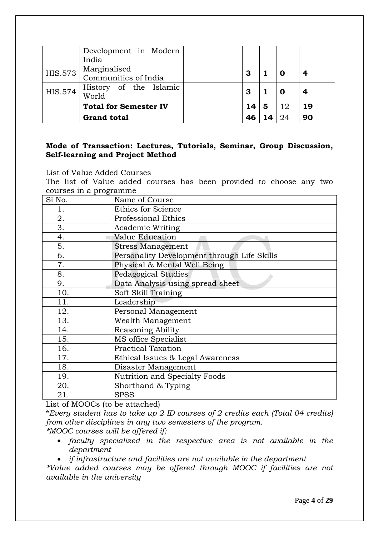|                | Development in Modern<br>India       |    |   |    |    |
|----------------|--------------------------------------|----|---|----|----|
| HIS.573        | Marginalised<br>Communities of India | 3  |   |    |    |
| <b>HIS.574</b> | History of the Islamic<br>World      | 3  |   |    |    |
|                | <b>Total for Semester IV</b>         | 14 | 5 | 12 | 19 |
|                | <b>Grand total</b>                   |    |   | 24 | 90 |

### **Mode of Transaction: Lectures, Tutorials, Seminar, Group Discussion, Self-learning and Project Method**

List of Value Added Courses

The list of Value added courses has been provided to choose any two courses in a programme

| Si No. | Name of Course                              |
|--------|---------------------------------------------|
| 1.     | Ethics for Science                          |
| 2.     | Professional Ethics                         |
| 3.     | <b>Academic Writing</b>                     |
| 4.     | Value Education                             |
| 5.     | <b>Stress Management</b>                    |
| 6.     | Personality Development through Life Skills |
| 7.     | Physical & Mental Well Being                |
| 8.     | Pedagogical Studies                         |
| 9.     | Data Analysis using spread sheet            |
| 10.    | Soft Skill Training                         |
| 11.    | Leadership                                  |
| 12.    | Personal Management                         |
| 13.    | Wealth Management                           |
| 14.    | Reasoning Ability                           |
| 15.    | MS office Specialist                        |
| 16.    | <b>Practical Taxation</b>                   |
| 17.    | Ethical Issues & Legal Awareness            |
| 18.    | Disaster Management                         |
| 19.    | Nutrition and Specialty Foods               |
| 20.    | Shorthand & Typing                          |
| 21.    | <b>SPSS</b>                                 |

List of MOOCs (to be attached)

\**Every student has to take up 2 ID courses of 2 credits each (Total 04 credits) from other disciplines in any two semesters of the program.*

*\*MOOC courses will be offered if;* 

 *faculty specialized in the respective area is not available in the department*

*if infrastructure and facilities are not available in the department*

*\*Value added courses may be offered through MOOC if facilities are not available in the university*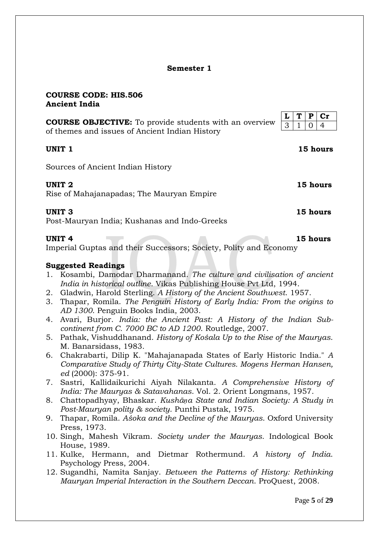### **Semester 1**

#### **COURSE CODE: HIS.506 Ancient India**

**COURSE OBJECTIVE:** To provide students with an overview of themes and issues of Ancient Indian History

#### **UNIT 1 15 hours**

Sources of Ancient Indian History

#### **UNIT 2 15 hours**

Rise of Mahajanapadas; The Mauryan Empire

#### **UNIT 3 15 hours**

Post-Mauryan India; Kushanas and Indo-Greeks

#### **UNIT 4 15 hours**

Imperial Guptas and their Successors; Society, Polity and Economy

#### **Suggested Readings**

- 1. Kosambi, Damodar Dharmanand. *The culture and civilisation of ancient India in historical outline*. Vikas Publishing House Pvt Ltd, 1994.
- 2. Gladwin, Harold Sterling. *A History of the Ancient Southwest*. 1957.
- 3. Thapar, Romila. *The Penguin History of Early India: From the origins to AD 1300*. Penguin Books India, 2003.
- 4. Avari, Burjor. *India: the Ancient Past: A History of the Indian Subcontinent from C. 7000 BC to AD 1200*. Routledge, 2007.
- 5. Pathak, Vishuddhanand. *History of Kośala Up to the Rise of the Mauryas*. M. Banarsidass, 1983.
- 6. Chakrabarti, Dilip K. "Mahajanapada States of Early Historic India." *A Comparative Study of Thirty City-State Cultures. Mogens Herman Hansen, ed* (2000): 375-91.
- 7. Sastri, Kallidaikurichi Aiyah Nilakanta. *A Comprehensive History of India: The Mauryas & Satavahanas*. Vol. 2. Orient Longmans, 1957.
- 8. Chattopadhyay, Bhaskar. *Kushāṇa State and Indian Society: A Study in Post-Mauryan polity & society*. Punthi Pustak, 1975.
- 9. Thapar, Romila. *Aśoka and the Decline of the Mauryas*. Oxford University Press, 1973.
- 10. Singh, Mahesh Vikram. *Society under the Mauryas*. Indological Book House, 1989.
- 11. Kulke, Hermann, and Dietmar Rothermund. *A history of India*. Psychology Press, 2004.
- 12. Sugandhi, Namita Sanjay. *Between the Patterns of History: Rethinking Mauryan Imperial Interaction in the Southern Deccan*. ProQuest, 2008.

|  | в |  |
|--|---|--|
|  |   |  |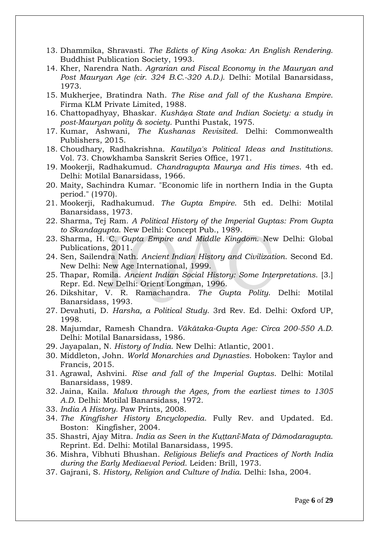- 13. Dhammika, Shravasti. *The Edicts of King Asoka: An English Rendering*. Buddhist Publication Society, 1993.
- 14. Kher, Narendra Nath. *Agrarian and Fiscal Economy in the Mauryan and Post Mauryan Age (cir. 324 B.C.-320 A.D.)*. Delhi: Motilal Banarsidass, 1973.
- 15. Mukherjee, Bratindra Nath. *The Rise and fall of the Kushana Empire*. Firma KLM Private Limited, 1988.
- 16. Chattopadhyay, Bhaskar. *Kushāṇa State and Indian Society: a study in post-Mauryan polity & society*. Punthi Pustak, 1975.
- 17. Kumar, Ashwani, *The Kushanas Revisited*. Delhi: Commonwealth Publishers, 2015.
- 18. Choudhary, Radhakrishna. *Kautilya's Political Ideas and Institutions*. Vol. 73. Chowkhamba Sanskrit Series Office, 1971.
- 19. Mookerji, Radhakumud. *Chandragupta Maurya and His times*. 4th ed. Delhi: Motilal Banarsidass, 1966.
- 20. Maity, Sachindra Kumar. "Economic life in northern India in the Gupta period." (1970).
- 21. Mookerji, Radhakumud. *The Gupta Empire*. 5th ed. Delhi: Motilal Banarsidass, 1973.
- 22. Sharma, Tej Ram. *A Political History of the Imperial Guptas: From Gupta to Skandagupta*. New Delhi: Concept Pub., 1989.
- 23. Sharma, H. C. *Gupta Empire and Middle Kingdom*. New Delhi: Global Publications, 2011.
- 24. Sen, Sailendra Nath. *Ancient Indian History and Civilization*. Second Ed. New Delhi: New Age International, 1999.
- 25. Thapar, Romila. *Ancient Indian Social History: Some Interpretations*. [3.] Repr. Ed. New Delhi: Orient Longman, 1996.
- 26. Dikshitar, V. R. Ramachandra. *The Gupta Polity*. Delhi: Motilal Banarsidass, 1993.
- 27. Devahuti, D. *Harsha, a Political Study*. 3rd Rev. Ed. Delhi: Oxford UP, 1998.
- 28. Majumdar, Ramesh Chandra. *Vākātaka-Gupta Age: Circa 200-550 A.D.*  Delhi: Motilal Banarsidass, 1986.
- 29. Jayapalan, N. *History of India*. New Delhi: Atlantic, 2001.
- 30. Middleton, John. *World Monarchies and Dynasties*. Hoboken: Taylor and Francis, 2015.
- 31. Agrawal, Ashvini. *Rise and fall of the Imperial Guptas*. Delhi: Motilal Banarsidass, 1989.
- 32. Jaina, Kaila. *Malwa through the Ages, from the earliest times to 1305 A.D*. Delhi: Motilal Banarsidass, 1972.
- 33. *India A History.* Paw Prints, 2008.
- 34. *The Kingfisher History Encyclopedia*. Fully Rev. and Updated. Ed. Boston: Kingfisher, 2004.
- 35. Shastri, Ajay Mitra. *India as Seen in the Kuttani-Mata of Dāmodaragupta*. Reprint. Ed. Delhi: Motilal Banarsidass, 1995.
- 36. Mishra, Vibhuti Bhushan. *Religious Beliefs and Practices of North India during the Early Mediaeval Period*. Leiden: Brill, 1973.
- 37. Gajrani, S. *History, Religion and Culture of India*. Delhi: Isha, 2004.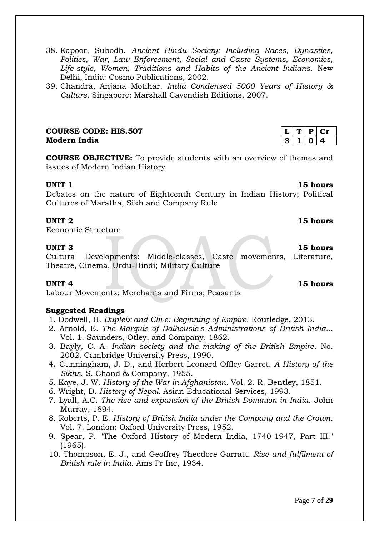#### 38. Kapoor, Subodh. *Ancient Hindu Society: Including Races, Dynasties, Politics, War, Law Enforcement, Social and Caste Systems, Economics, Life-style, Women, Traditions and Habits of the Ancient Indians*. New Delhi, India: Cosmo Publications, 2002.

39. Chandra, Anjana Motihar. *India Condensed 5000 Years of History & Culture*. Singapore: Marshall Cavendish Editions, 2007.

### **COURSE CODE: HIS.507 Modern India**

**COURSE OBJECTIVE:** To provide students with an overview of themes and issues of Modern Indian History

#### **UNIT 1** 15 hours

Debates on the nature of Eighteenth Century in Indian History; Political Cultures of Maratha, Sikh and Company Rule

#### **UNIT 2** 15 hours

Economic Structure

#### **UNIT 3** 15 hours

Cultural Developments: Middle-classes, Caste movements, Literature, Theatre, Cinema, Urdu-Hindi; Military Culture

Labour Movements; Merchants and Firms; Peasants

#### **Suggested Readings**

- 1. Dodwell, H. *Dupleix and Clive: Beginning of Empire*. Routledge, 2013.
- 2. Arnold, E. *The Marquis of Dalhousie's Administrations of British India..*. Vol. 1. Saunders, Otley, and Company, 1862.
- 3. Bayly, C. A. *Indian society and the making of the British Empire*. No. 2002. Cambridge University Press, 1990.
- 4**.** Cunningham, J. D., and Herbert Leonard Offley Garret. *A History of the Sikhs*. S. Chand & Company, 1955.
- 5. Kaye, J. W. *History of the War in Afghanistan*. Vol. 2. R. Bentley, 1851.
- 6. Wright, D. *History of Nepal*. Asian Educational Services, 1993.
- 7. Lyall, A.C. *The rise and expansion of the British Dominion in India*. John Murray, 1894.
- 8. Roberts, P. E. *History of British India under the Company and the Crown*. Vol. 7. London: Oxford University Press, 1952.
- 9. Spear, P. "The Oxford History of Modern India, 1740-1947, Part III." (1965).
- 10. Thompson, E. J., and Geoffrey Theodore Garratt. *Rise and fulfilment of British rule in India*. Ams Pr Inc, 1934.

| u   | в. |   |
|-----|----|---|
| -21 |    | - |

**UNIT 4** 15 hours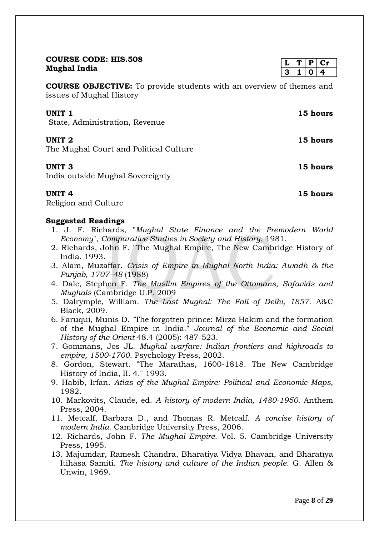| <b>COURSE CODE: HIS.508</b>                                                                             | L | Т | P | $cr$     |
|---------------------------------------------------------------------------------------------------------|---|---|---|----------|
| Mughal India                                                                                            | 3 |   | N | 4        |
| <b>COURSE OBJECTIVE:</b> To provide students with an overview of themes and<br>issues of Mughal History |   |   |   |          |
| UNIT 1<br>State, Administration, Revenue                                                                |   |   |   | 15 hours |
| <b>UNIT 2</b><br>The Mughal Court and Political Culture                                                 |   |   |   | 15 hours |
| UNIT <sub>3</sub><br>India outside Mughal Sovereignty                                                   |   |   |   | 15 hours |
| UNIT 4                                                                                                  |   |   |   | 15 hours |

Religion and Culture

#### **Suggested Readings**

- 1. J. F. Richards, "*Mughal State Finance and the Premodern World Economy*", *Comparative Studies in Society and History*, 1981.
- 2. Richards, John F. "The Mughal Empire, The New Cambridge History of India. 1993.
- 3. Alam, Muzaffar. *Crisis of Empire in Mughal North India: Awadh & the Punjab, 1707–48* (1988)
- 4. Dale, Stephen F. *The Muslim Empires of the Ottomans, Safavids and Mughals* (Cambridge U.P. 2009
- 5. Dalrymple, William. *The Last Mughal: The Fall of Delhi, 1857*. A&C Black, 2009.
- 6. Faruqui, Munis D. "The forgotten prince: Mirza Hakim and the formation of the Mughal Empire in India." *Journal of the Economic and Social History of the Orient* 48.4 (2005): 487-523.
- 7. Gommans, Jos JL. *Mughal warfare: Indian frontiers and highroads to empire, 1500-1700*. Psychology Press, 2002.
- 8. Gordon, Stewart. "The Marathas, 1600-1818. The New Cambridge History of India, II. 4." 1993.
- 9. Habib, Irfan. *Atlas of the Mughal Empire: Political and Economic Maps,*  1982.
- 10. Markovits, Claude, ed. *A history of modern India, 1480-1950*. Anthem Press, 2004.
- 11. Metcalf, Barbara D., and Thomas R. Metcalf. *A concise history of modern India*. Cambridge University Press, 2006.
- 12. Richards, John F. *The Mughal Empire*. Vol. 5. Cambridge University Press, 1995.
- 13. Majumdar, Ramesh Chandra, Bharatiya Vidya Bhavan, and Bhāratīya Itihāsa Samiti. *The history and culture of the Indian people*. G. Allen & Unwin, 1969.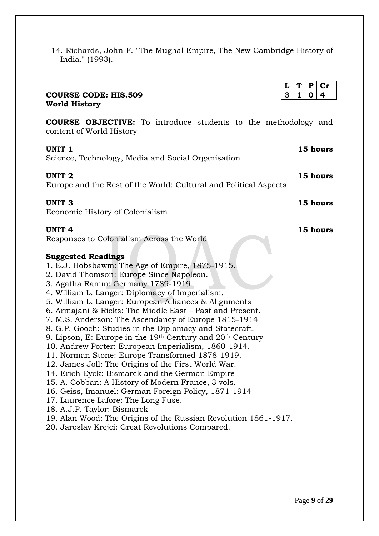14. Richards, John F. "The Mughal Empire, The New Cambridge History of India." (1993).

|                                                                                                                                                                                                                                                                                                                                                                                                                                                                                                                                                                                                                                                                                                                                                                                                                                                                                                                                                                                                                                                          | T<br>$\mathbf P$<br>L<br>$\mathbf{Cr}$ |
|----------------------------------------------------------------------------------------------------------------------------------------------------------------------------------------------------------------------------------------------------------------------------------------------------------------------------------------------------------------------------------------------------------------------------------------------------------------------------------------------------------------------------------------------------------------------------------------------------------------------------------------------------------------------------------------------------------------------------------------------------------------------------------------------------------------------------------------------------------------------------------------------------------------------------------------------------------------------------------------------------------------------------------------------------------|----------------------------------------|
| <b>COURSE CODE: HIS.509</b>                                                                                                                                                                                                                                                                                                                                                                                                                                                                                                                                                                                                                                                                                                                                                                                                                                                                                                                                                                                                                              | 3<br>$\mathbf{1}$<br>0<br>4            |
| <b>World History</b>                                                                                                                                                                                                                                                                                                                                                                                                                                                                                                                                                                                                                                                                                                                                                                                                                                                                                                                                                                                                                                     |                                        |
| <b>COURSE OBJECTIVE:</b> To introduce students to the methodology and<br>content of World History                                                                                                                                                                                                                                                                                                                                                                                                                                                                                                                                                                                                                                                                                                                                                                                                                                                                                                                                                        |                                        |
| UNIT <sub>1</sub><br>Science, Technology, Media and Social Organisation                                                                                                                                                                                                                                                                                                                                                                                                                                                                                                                                                                                                                                                                                                                                                                                                                                                                                                                                                                                  | 15 hours                               |
| <b>UNIT 2</b><br>Europe and the Rest of the World: Cultural and Political Aspects                                                                                                                                                                                                                                                                                                                                                                                                                                                                                                                                                                                                                                                                                                                                                                                                                                                                                                                                                                        | 15 hours                               |
| <b>UNIT 3</b><br>Economic History of Colonialism                                                                                                                                                                                                                                                                                                                                                                                                                                                                                                                                                                                                                                                                                                                                                                                                                                                                                                                                                                                                         | 15 hours                               |
| <b>UNIT 4</b><br>Responses to Colonialism Across the World                                                                                                                                                                                                                                                                                                                                                                                                                                                                                                                                                                                                                                                                                                                                                                                                                                                                                                                                                                                               | 15 hours                               |
| <b>Suggested Readings</b><br>1. E.J. Hobsbawm: The Age of Empire, 1875-1915.<br>2. David Thomson: Europe Since Napoleon.<br>3. Agatha Ramm: Germany 1789-1919.<br>4. William L. Langer: Diplomacy of Imperialism.<br>5. William L. Langer: European Alliances & Alignments<br>6. Armajani & Ricks: The Middle East - Past and Present.<br>7. M.S. Anderson: The Ascendancy of Europe 1815-1914<br>8. G.P. Gooch: Studies in the Diplomacy and Statecraft.<br>9. Lipson, E: Europe in the $19th$ Century and $20th$ Century<br>10. Andrew Porter: European Imperialism, 1860-1914.<br>11. Norman Stone: Europe Transformed 1878-1919.<br>12. James Joll: The Origins of the First World War.<br>14. Erich Eyck: Bismarck and the German Empire<br>15. A. Cobban: A History of Modern France, 3 vols.<br>16. Geiss, Imanuel: German Foreign Policy, 1871-1914<br>17. Laurence Lafore: The Long Fuse.<br>18. A.J.P. Taylor: Bismarck<br>19. Alan Wood: The Origins of the Russian Revolution 1861-1917.<br>20. Jaroslav Krejci: Great Revolutions Compared. |                                        |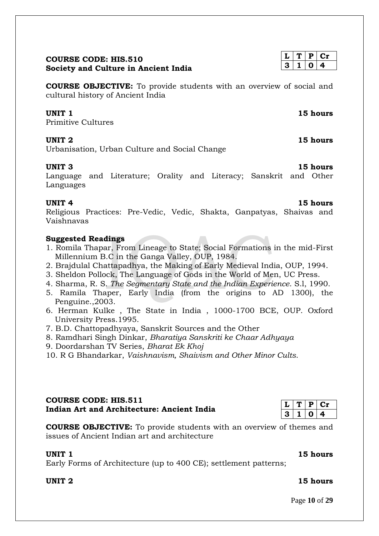### **COURSE CODE: HIS.510 Society and Culture in Ancient India**

**COURSE OBJECTIVE:** To provide students with an overview of social and cultural history of Ancient India

#### **UNIT 1** 15 hours

Primitive Cultures

#### **UNIT 2** 15 hours

Urbanisation, Urban Culture and Social Change

#### **UNIT 3** 15 hours

Language and Literature; Orality and Literacy; Sanskrit and Other Languages

#### **UNIT 4** 15 hours

Religious Practices: Pre-Vedic, Vedic, Shakta, Ganpatyas, Shaivas and Vaishnavas

#### **Suggested Readings**

- 1. Romila Thapar, From Lineage to State; Social Formations in the mid-First Millennium B.C in the Ganga Valley, OUP, 1984.
- 2. Brajdulal Chattapadhya, the Making of Early Medieval India, OUP, 1994.
- 3. Sheldon Pollock, The Language of Gods in the World of Men, UC Press.
- 4. Sharma, R. S. *The Segmentary State and the Indian Experience*. S.l, 1990.
- 5. Ramila Thaper, Early India (from the origins to AD 1300), the Penguine.,2003.
- 6. Herman Kulke , The State in India , 1000-1700 BCE, OUP. Oxford University Press.1995.
- 7. B.D. Chattopadhyaya, Sanskrit Sources and the Other
- 8. Ramdhari Singh Dinkar, *Bharatiya Sanskriti ke Chaar Adhyaya*
- 9. Doordarshan TV Series, *Bharat Ek Khoj*
- 10. R G Bhandarkar, *Vaishnavism, Shaivism and Other Minor Cults*.

### **COURSE CODE: HIS.511 Indian Art and Architecture: Ancient India**

**COURSE OBJECTIVE:** To provide students with an overview of themes and issues of Ancient Indian art and architecture

#### **UNIT 1** 15 hours

Early Forms of Architecture (up to 400 CE); settlement patterns;

 $T | P | Cr$  $3 | 1 | 0 | 4$ 

#### **UNIT 2** 15 hours

Page **10** of **29**

## $T | P | Cr$ **3 1 0 4**

| .5 nours |  |
|----------|--|
| ⌒ · 1    |  |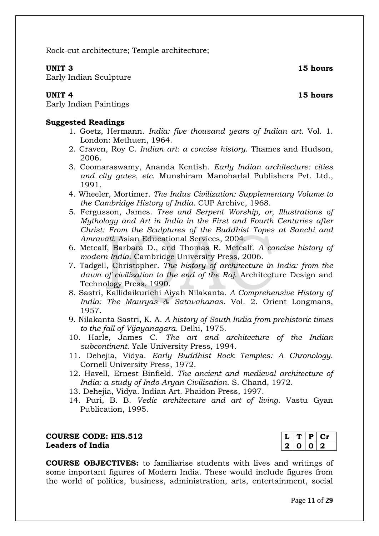Rock-cut architecture; Temple architecture;

### **UNIT 3** 15 hours

Early Indian Sculpture

Early Indian Paintings

### **Suggested Readings**

- 1. Goetz, Hermann. *India: five thousand years of Indian art*. Vol. 1. London: Methuen, 1964.
- 2. Craven, Roy C. *Indian art: a concise history*. Thames and Hudson, 2006.
- 3. Coomaraswamy, Ananda Kentish. *Early Indian architecture: cities and city gates, etc*. Munshiram Manoharlal Publishers Pvt. Ltd., 1991.
- 4. Wheeler, Mortimer. *The Indus Civilization: Supplementary Volume to the Cambridge History of India*. CUP Archive, 1968.
- 5. Fergusson, James. *Tree and Serpent Worship, or, Illustrations of Mythology and Art in India in the First and Fourth Centuries after Christ: From the Sculptures of the Buddhist Topes at Sanchi and Amravati*. Asian Educational Services, 2004.
- 6. Metcalf, Barbara D., and Thomas R. Metcalf. *A concise history of modern India*. Cambridge University Press, 2006.
- 7. Tadgell, Christopher. *The history of architecture in India: from the dawn of civilization to the end of the Raj*. Architecture Design and Technology Press, 1990.
- 8. Sastri, Kallidaikurichi Aiyah Nilakanta. *A Comprehensive History of India: The Mauryas & Satavahanas*. Vol. 2. Orient Longmans, 1957.
- 9. Nilakanta Sastri, K. A. *A history of South India from prehistoric times to the fall of Vijayanagara*. Delhi, 1975.
- 10. Harle, James C. *The art and architecture of the Indian subcontinent*. Yale University Press, 1994.
- 11. Dehejia, Vidya. *Early Buddhist Rock Temples: A Chronology*. Cornell University Press, 1972.
- 12. Havell, Ernest Binfield. *The ancient and medieval architecture of India: a study of Indo-Aryan Civilisation*. S. Chand, 1972.
- 13. Dehejia, Vidya. Indian Art. Phaidon Press, 1997.
- 14. Puri, B. B. *Vedic architecture and art of living*. Vastu Gyan Publication, 1995.

#### **COURSE CODE: HIS.512 Leaders of India**

**COURSE OBJECTIVES:** to familiarise students with lives and writings of some important figures of Modern India. These would include figures from the world of politics, business, administration, arts, entertainment, social

 $T | P | Cr$ **2 0 0 2**

**UNIT 4** 15 hours

Page **11** of **29**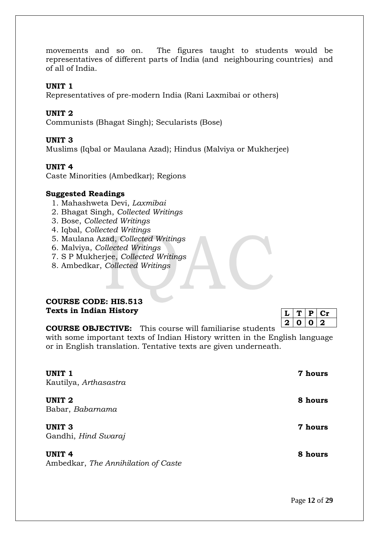movements and so on. The figures taught to students would be representatives of different parts of India (and neighbouring countries) and of all of India.

#### **UNIT 1**

Representatives of pre-modern India (Rani Laxmibai or others)

### **UNIT 2**

Communists (Bhagat Singh); Secularists (Bose)

### **UNIT 3**

Muslims (Iqbal or Maulana Azad); Hindus (Malviya or Mukherjee)

### **UNIT 4**

Caste Minorities (Ambedkar); Regions

#### **Suggested Readings**

- 1. Mahashweta Devi, *Laxmibai*
- 2. Bhagat Singh, *Collected Writings*
- 3. Bose, *Collected Writings*
- 4. Iqbal, *Collected Writings*
- 5. Maulana Azad, *Collected Writings*
- 6. Malviya, *Collected Writings*
- 7. S P Mukherjee, *Collected Writings*
- 8. Ambedkar, *Collected Writings*

#### **COURSE CODE: HIS.513 Texts in Indian History**

|         | υ |         |
|---------|---|---------|
| $\cdot$ | ш | $\cdot$ |

**COURSE OBJECTIVE:** This course will familiarise students

with some important texts of Indian History written in the English language or in English translation. Tentative texts are given underneath.

| UNIT <sub>1</sub><br>Kautilya, Arthasastra           | 7 hours |
|------------------------------------------------------|---------|
| UNIT <sub>2</sub><br>Babar, Babarnama                | 8 hours |
| <b>UNIT 3</b><br>Gandhi, <i>Hind Swaraj</i>          | 7 hours |
| <b>UNIT 4</b><br>Ambedkar, The Annihilation of Caste | 8 hours |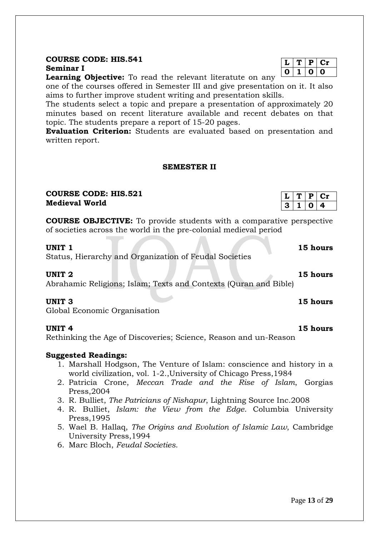### **COURSE CODE: HIS.541 Seminar I**

**Learning Objective:** To read the relevant literatute on any

one of the courses offered in Semester III and give presentation on it. It also aims to further improve student writing and presentation skills.

The students select a topic and prepare a presentation of approximately 20 minutes based on recent literature available and recent debates on that topic. The students prepare a report of 15-20 pages.

**Evaluation Criterion:** Students are evaluated based on presentation and written report.

#### **SEMESTER II**

### **COURSE CODE: HIS.521 Medieval World**

**COURSE OBJECTIVE:** To provide students with a comparative perspective of societies across the world in the pre-colonial medieval period

Status, Hierarchy and Organization of Feudal Societies

Abrahamic Religions; Islam; Texts and Contexts (Quran and Bible)

Global Economic Organisation

Rethinking the Age of Discoveries; Science, Reason and un-Reason

### **Suggested Readings:**

- 1. Marshall Hodgson, The Venture of Islam: conscience and history in a world civilization, vol. 1-2.,University of Chicago Press,1984
- 2. Patricia Crone, *Meccan Trade and the Rise of Islam*, Gorgias Press,2004
- 3. R. Bulliet, *The Patricians of Nishapur*, Lightning Source Inc.2008
- 4. R. Bulliet, *Islam: the View from the Edge*. Columbia University Press,1995
- 5. Wael B. Hallaq, *The Origins and Evolution of Islamic Law*, Cambridge University Press,1994
- 6. Marc Bloch, *Feudal Societies*.

### Page **13** of **29**

 $L | T | P | Cr$ **0 1 0 0**

**L T P Cr 3 1 0 4**

**UNIT 1** 15 hours

**UNIT 2 15 hours**

**UNIT 3 15 hours**

#### **UNIT 4 15 hours**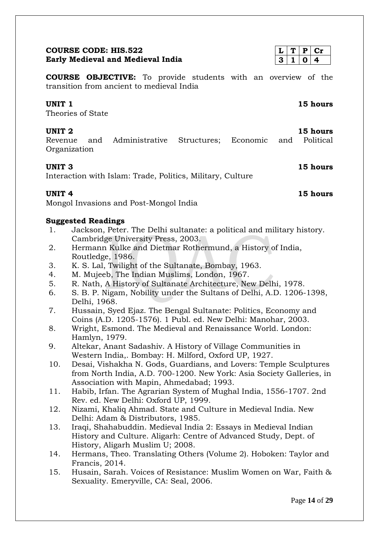#### Page **14** of **29**

#### **COURSE CODE: HIS.522 Early Medieval and Medieval India**

**COURSE OBJECTIVE:** To provide students with an overview of the transition from ancient to medieval India

#### **UNIT 1** 15 hours

Theories of State

Revenue and Administrative Structures; Economic and Political **Organization** 

#### **UNIT 3** 15 hours

Interaction with Islam: Trade, Politics, Military, Culture

#### **UNIT 4** 15 hours

Mongol Invasions and Post-Mongol India

#### **Suggested Readings**

- 1. Jackson, Peter. The Delhi sultanate: a political and military history. Cambridge University Press, 2003.
- 2. Hermann Kulke and Dietmar Rothermund, a History of India, Routledge, 1986.
- 3. K. S. Lal, Twilight of the Sultanate, Bombay, 1963.
- 4. M. Mujeeb, The Indian Muslims, London, 1967.
- 5. R. Nath, A History of Sultanate Architecture, New Delhi, 1978.
- 6. S. B. P. Nigam, Nobility under the Sultans of Delhi, A.D. 1206-1398, Delhi, 1968.
- 7. Hussain, Syed Ejaz. The Bengal Sultanate: Politics, Economy and Coins (A.D. 1205-1576). 1 Publ. ed. New Delhi: Manohar, 2003.
- 8. Wright, Esmond. The Medieval and Renaissance World. London: Hamlyn, 1979.
- 9. Altekar, Anant Sadashiv. A History of Village Communities in Western India,. Bombay: H. Milford, Oxford UP, 1927.
- 10. Desai, Vishakha N. Gods, Guardians, and Lovers: Temple Sculptures from North India, A.D. 700-1200. New York: Asia Society Galleries, in Association with Mapin, Ahmedabad; 1993.
- 11. Habib, Irfan. The Agrarian System of Mughal India, 1556-1707. 2nd Rev. ed. New Delhi: Oxford UP, 1999.
- 12. Nizami, Khaliq Ahmad. State and Culture in Medieval India. New Delhi: Adam & Distributors, 1985.
- 13. Iraqi, Shahabuddin. Medieval India 2: Essays in Medieval Indian History and Culture. Aligarh: Centre of Advanced Study, Dept. of History, Aligarh Muslim U; 2008.
- 14. Hermans, Theo. Translating Others (Volume 2). Hoboken: Taylor and Francis, 2014.
- 15. Husain, Sarah. Voices of Resistance: Muslim Women on War, Faith & Sexuality. Emeryville, CA: Seal, 2006.

 $1 | 0 | 4$ 



### **UNIT 2** 15 hours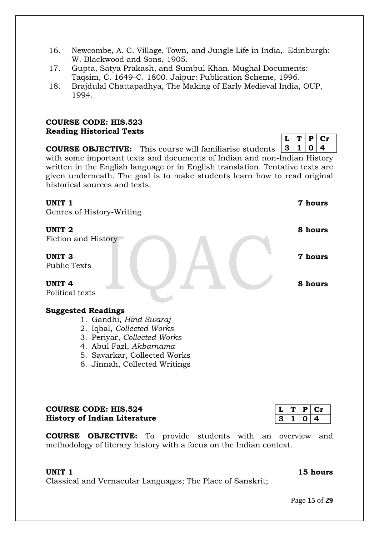- 16. Newcombe, A. C. Village, Town, and Jungle Life in India,. Edinburgh: W. Blackwood and Sons, 1905.
- 17. Gupta, Satya Prakash, and Sumbul Khan. Mughal Documents: Taqsim, C. 1649-C. 1800. Jaipur: Publication Scheme, 1996.
- 18. Brajdulal Chattapadhya, The Making of Early Medieval India, OUP, 1994.

### **COURSE CODE: HIS.523 Reading Historical Texts**

**COURSE OBJECTIVE:** This course will familiarise students with some important texts and documents of Indian and non-Indian History written in the English language or in English translation. Tentative texts are given underneath. The goal is to make students learn how to read original historical sources and texts. **3 1 0 4**

#### **UNIT 1** 7 hours

Genres of History-Writing

Fiction and History

**UNIT 3 7 hours** Public Texts

**UNIT 4** 8 hours Political texts

### **Suggested Readings**

- 1. Gandhi, *Hind Swaraj*
- 2. Iqbal, *Collected Works*
- 3. Periyar, *Collected Works*
- 4. Abul Fazl, *Akbarnama*
- 5. Savarkar, Collected Works
- 6. Jinnah, Collected Writings

### **COURSE CODE: HIS.524 History of Indian Literature**

**COURSE OBJECTIVE:** To provide students with an overview and methodology of literary history with a focus on the Indian context.

#### **UNIT 1** 15 hours

Classical and Vernacular Languages; The Place of Sanskrit;

|    | ٠. | . . |
|----|----|-----|
| -2 |    |     |

| UNIT 2 | 8 hours |
|--------|---------|

 $T | P | Cr$ 

Page **15** of **29**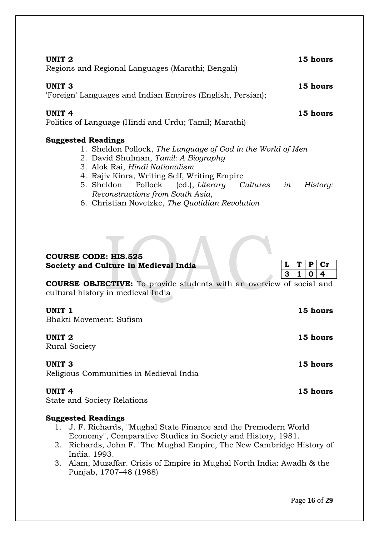| UNIT 2<br>Regions and Regional Languages (Marathi; Bengali)                                                                                                                                                                                                                                                                                                          | 15 hours                      |
|----------------------------------------------------------------------------------------------------------------------------------------------------------------------------------------------------------------------------------------------------------------------------------------------------------------------------------------------------------------------|-------------------------------|
| <b>UNIT 3</b><br>'Foreign' Languages and Indian Empires (English, Persian);                                                                                                                                                                                                                                                                                          | 15 hours                      |
| <b>UNIT 4</b><br>Politics of Language (Hindi and Urdu; Tamil; Marathi)                                                                                                                                                                                                                                                                                               | 15 hours                      |
| <b>Suggested Readings</b><br>1. Sheldon Pollock, The Language of God in the World of Men<br>2. David Shulman, Tamil: A Biography<br>3. Alok Rai, Hindi Nationalism<br>4. Rajiv Kinra, Writing Self, Writing Empire<br>(ed.), Literary Cultures<br>Pollock<br>5. Sheldon<br>in<br>Reconstructions from South Asia,<br>6. Christian Novetzke, The Quotidian Revolution | History:                      |
| <b>COURSE CODE: HIS.525</b><br>Society and Culture in Medieval India<br>L<br>3<br><b>COURSE OBJECTIVE:</b> To provide students with an overview of social and<br>cultural history in medieval India                                                                                                                                                                  | T<br>P<br>$cr$<br>1<br>4<br>0 |
| UNIT <sub>1</sub><br>Bhakti Movement; Sufism                                                                                                                                                                                                                                                                                                                         | 15 hours                      |
| <b>UNIT 2</b><br><b>Rural Society</b>                                                                                                                                                                                                                                                                                                                                | 15 hours                      |
| <b>UNIT 3</b><br>Religious Communities in Medieval India                                                                                                                                                                                                                                                                                                             | 15 hours                      |
| <b>UNIT 4</b><br><b>State and Society Relations</b>                                                                                                                                                                                                                                                                                                                  | 15 hours                      |
| <b>Suggested Readings</b><br>1. J. F. Richards, "Mughal State Finance and the Premodern World                                                                                                                                                                                                                                                                        |                               |

- Economy", Comparative Studies in Society and History, 1981.
- 2. Richards, John F. "The Mughal Empire, The New Cambridge History of India. 1993.
- 3. Alam, Muzaffar. Crisis of Empire in Mughal North India: Awadh & the Punjab, 1707–48 (1988)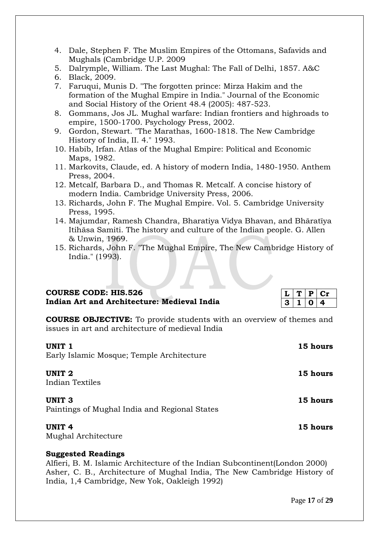- 4. Dale, Stephen F. The Muslim Empires of the Ottomans, Safavids and Mughals (Cambridge U.P. 2009
- 5. Dalrymple, William. The Last Mughal: The Fall of Delhi, 1857. A&C
- 6. Black, 2009.
- 7. Faruqui, Munis D. "The forgotten prince: Mirza Hakim and the formation of the Mughal Empire in India." Journal of the Economic and Social History of the Orient 48.4 (2005): 487-523.
- 8. Gommans, Jos JL. Mughal warfare: Indian frontiers and highroads to empire, 1500-1700. Psychology Press, 2002.
- 9. Gordon, Stewart. "The Marathas, 1600-1818. The New Cambridge History of India, II. 4." 1993.
- 10. Habib, Irfan. Atlas of the Mughal Empire: Political and Economic Maps, 1982.
- 11. Markovits, Claude, ed. A history of modern India, 1480-1950. Anthem Press, 2004.
- 12. Metcalf, Barbara D., and Thomas R. Metcalf. A concise history of modern India. Cambridge University Press, 2006.
- 13. Richards, John F. The Mughal Empire. Vol. 5. Cambridge University Press, 1995.
- 14. Majumdar, Ramesh Chandra, Bharatiya Vidya Bhavan, and Bhāratīya Itihāsa Samiti. The history and culture of the Indian people. G. Allen & Unwin, 1969.
- 15. Richards, John F. "The Mughal Empire, The New Cambridge History of India." (1993).

### **COURSE CODE: HIS.526 Indian Art and Architecture: Medieval India**

|    | н |  |
|----|---|--|
| 72 |   |  |

**COURSE OBJECTIVE:** To provide students with an overview of themes and issues in art and architecture of medieval India

### **UNIT 1** 15 hours

Early Islamic Mosque; Temple Architecture

### **UNIT 2** 15 hours

Indian Textiles

### **UNIT 3** 15 hours

Paintings of Mughal India and Regional States

### **UNIT 4** 15 hours

Mughal Architecture

### **Suggested Readings**

Alfieri, B. M. Islamic Architecture of the Indian Subcontinent(London 2000) Asher, C. B., Architecture of Mughal India, The New Cambridge History of India, 1,4 Cambridge, New Yok, Oakleigh 1992)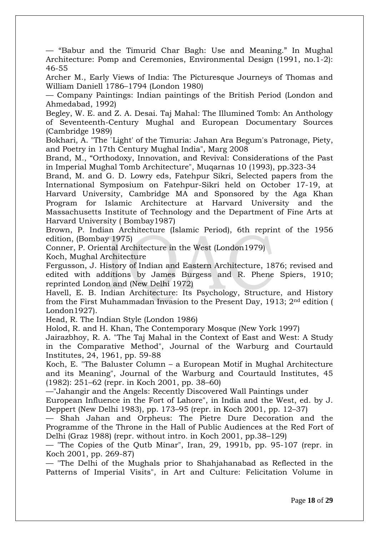— "Babur and the Timurid Char Bagh: Use and Meaning." In Mughal Architecture: Pomp and Ceremonies, Environmental Design (1991, no.1-2): 46-55

Archer M., Early Views of India: The Picturesque Journeys of Thomas and William Daniell 1786–1794 (London 1980)

— Company Paintings: Indian paintings of the British Period (London and Ahmedabad, 1992)

Begley, W. E. and Z. A. Desai. Taj Mahal: The Illumined Tomb: An Anthology of Seventeenth-Century Mughal and European Documentary Sources (Cambridge 1989)

Bokhari, A. "The `Light' of the Timuria: Jahan Ara Begum's Patronage, Piety, and Poetry in 17th Century Mughal India", Marg 2008

Brand, M., "Orthodoxy, Innovation, and Revival: Considerations of the Past in Imperial Mughal Tomb Architecture", Muqarnas 10 (1993), pp.323-34

Brand, M. and G. D. Lowry eds, Fatehpur Sikri, Selected papers from the International Symposium on Fatehpur-Sikri held on October 17-19, at Harvard University, Cambridge MA and Sponsored by the Aga Khan Program for Islamic Architecture at Harvard University and the Massachusetts Institute of Technology and the Department of Fine Arts at Harvard University ( Bombay1987)

Brown, P. Indian Architecture (Islamic Period), 6th reprint of the 1956 edition, (Bombay 1975)

Conner, P. Oriental Architecture in the West (London1979)

Koch, Mughal Architecture

Fergusson, J. History of Indian and Eastern Architecture, 1876; revised and edited with additions by James Burgess and R. Phene Spiers, 1910; reprinted London and (New Delhi 1972)

Havell, E. B. Indian Architecture: Its Psychology, Structure, and History from the First Muhammadan Invasion to the Present Day, 1913; 2nd edition ( London1927).

Head, R. The Indian Style (London 1986)

Holod, R. and H. Khan, The Contemporary Mosque (New York 1997)

Jairazbhoy, R. A. "The Taj Mahal in the Context of East and West: A Study in the Comparative Method", Journal of the Warburg and Courtauld Institutes, 24, 1961, pp. 59-88

Koch, E. "The Baluster Column – a European Motif in Mughal Architecture and its Meaning", Journal of the Warburg and Courtauld Institutes, 45 (1982): 251–62 (repr. in Koch 2001, pp. 38–60)

—"Jahangir and the Angels: Recently Discovered Wall Paintings under

European Influence in the Fort of Lahore", in India and the West, ed. by J. Deppert (New Delhi 1983), pp. 173–95 (repr. in Koch 2001, pp. 12–37)

— Shah Jahan and Orpheus: The Pietre Dure Decoration and the Programme of the Throne in the Hall of Public Audiences at the Red Fort of Delhi (Graz 1988) (repr. without intro. in Koch 2001, pp.38–129)

— "The Copies of the Qutb Minar", Iran, 29, 1991b, pp. 95-107 (repr. in Koch 2001, pp. 269-87)

— "The Delhi of the Mughals prior to Shahjahanabad as Reflected in the Patterns of Imperial Visits", in Art and Culture: Felicitation Volume in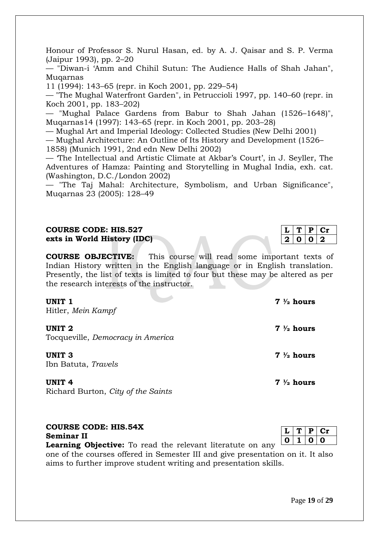Honour of Professor S. Nurul Hasan, ed. by A. J. Qaisar and S. P. Verma (Jaipur 1993), pp. 2–20

— "Diwan-i 'Amm and Chihil Sutun: The Audience Halls of Shah Jahan", Muqarnas

11 (1994): 143–65 (repr. in Koch 2001, pp. 229–54)

— "The Mughal Waterfront Garden", in Petruccioli 1997, pp. 140–60 (repr. in Koch 2001, pp. 183–202)

— "Mughal Palace Gardens from Babur to Shah Jahan (1526–1648)", Muqarnas14 (1997): 143–65 (repr. in Koch 2001, pp. 203–28)

— Mughal Art and Imperial Ideology: Collected Studies (New Delhi 2001)

— Mughal Architecture: An Outline of Its History and Development (1526–

1858) (Munich 1991, 2nd edn New Delhi 2002)

— 'The Intellectual and Artistic Climate at Akbar's Court', in J. Seyller, The Adventures of Hamza: Painting and Storytelling in Mughal India, exh. cat. (Washington, D.C./London 2002)

— "The Taj Mahal: Architecture, Symbolism, and Urban Significance", Muqarnas 23 (2005): 128–49

#### **COURSE CODE: HIS.527 exts in World History (IDC)**

**COURSE OBJECTIVE:** This course will read some important texts of Indian History written in the English language or in English translation. Presently, the list of texts is limited to four but these may be altered as per the research interests of the instructor.

#### **UNIT 1** 7  $\frac{1}{2}$  hours

Hitler, *Mein Kampf*

### **UNIT 2 7 ½ hours**

Tocqueville, *Democracy in America*

### **UNIT 3 7 ½ hours**

Ibn Batuta, *Travels*

Richard Burton, *City of the Saints*

#### **COURSE CODE: HIS.54X Seminar II**

**Learning Objective:** To read the relevant literatute on any

one of the courses offered in Semester III and give presentation on it. It also aims to further improve student writing and presentation skills.

 $L | T | P | Cr$ **0 1 0 0**

 $T | P | Cr$ **2 0 0 2**

**UNIT 4 7 ½ hours**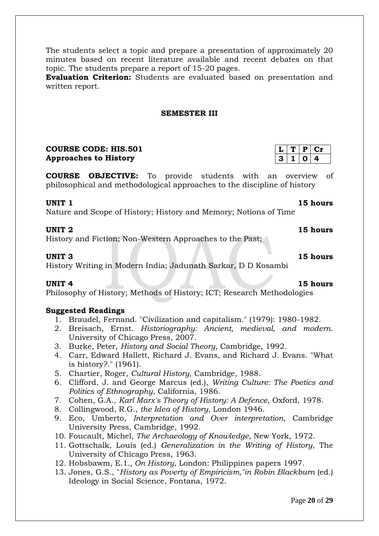The students select a topic and prepare a presentation of approximately 20 minutes based on recent literature available and recent debates on that topic. The students prepare a report of 15-20 pages.

**Evaluation Criterion:** Students are evaluated based on presentation and written report.

#### **SEMESTER III**

### **COURSE CODE: HIS.501 Approaches to History**

**COURSE OBJECTIVE:** To provide students with an overview of philosophical and methodological approaches to the discipline of history

#### **UNIT 1** 15 hours

Nature and Scope of History; History and Memory; Notions of Time

#### **UNIT 2 15 hours**

History and Fiction; Non-Western Approaches to the Past;

History Writing in Modern India; Jadunath Sarkar, D D Kosambi

#### **UNIT 4** 15 hours

Philosophy of History; Methods of History; ICT; Research Methodologies

#### **Suggested Readings**

- 1. Braudel, Fernand. "Civilization and capitalism." (1979): 1980-1982.
- 2. Breisach, Ernst. *Historiography: Ancient, medieval, and modern*. University of Chicago Press, 2007.
- 3. Burke, Peter, *History and Social Theory*, Cambridge, 1992.
- 4. Carr, Edward Hallett, Richard J. Evans, and Richard J. Evans. "What is history?." (1961).
- 5. Chartier, Roger, *Cultural History*, Cambridge, 1988.
- 6. Clifford, J. and George Marcus (ed.), *Writing Culture: The Poetics and Politics of Ethnography*, California, 1986.
- 7. Cohen, G.A., *Karl Marx's Theory of History: A Defence*, Oxford, 1978.
- 8. Collingwood, R.G., *the Idea of History*, London 1946.
- 9. Eco, Umberto, *Interpretation and Over interpretation*, Cambridge University Press, Cambridge, 1992.
- 10. Foucault, Michel, *The Archaeology of Knowledge*, New York, 1972.
- 11. Gottschalk, Louis (ed.) *Generalization in the Writing of History*, The University of Chicago Press, 1963.
- 12. Hobsbawm, E.1*., On History*, London: Philippines papers 1997.
- 13. Jones, G.S., "*History as Poverty of Empiricism,"in Robin Blackburn* (ed.) Ideology in Social Science, Fontana, 1972.

|    | н |     |
|----|---|-----|
| ٠. |   | - 1 |

**UNIT 3 15 hours**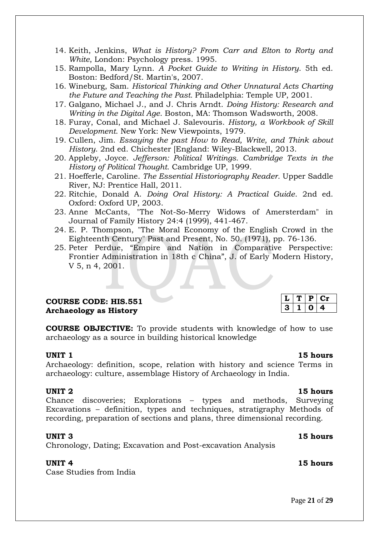- 14. Keith, Jenkins, *What is History? From Carr and Elton to Rorty and White*, London: Psychology press. 1995.
- 15. Rampolla, Mary Lynn. *A Pocket Guide to Writing in History*. 5th ed. Boston: Bedford/St. Martin's, 2007.
- 16. Wineburg, Sam. *Historical Thinking and Other Unnatural Acts Charting the Future and Teaching the Past.* Philadelphia: Temple UP, 2001.
- 17. Galgano, Michael J., and J. Chris Arndt. *Doing History: Research and Writing in the Digital Age*. Boston, MA: Thomson Wadsworth, 2008.
- 18. Furay, Conal, and Michael J. Salevouris. *History, a Workbook of Skill Development*. New York: New Viewpoints, 1979.
- 19. Cullen, Jim. *Essaying the past How to Read, Write, and Think about History*. 2nd ed. Chichester [England: Wiley-Blackwell, 2013.
- 20. Appleby, Joyce. *Jefferson: Political Writings. Cambridge Texts in the History of Political Thought*. Cambridge UP, 1999.
- 21. Hoefferle, Caroline. *The Essential Historiography Reader*. Upper Saddle River, NJ: Prentice Hall, 2011.
- 22. Ritchie, Donald A. *Doing Oral History: A Practical Guide*. 2nd ed. Oxford: Oxford UP, 2003.
- 23. Anne McCants, "The Not-So-Merry Widows of Amersterdam" in Journal of Family History 24:4 (1999), 441-467.
- 24. E. P. Thompson, "The Moral Economy of the English Crowd in the Eighteenth Century" Past and Present, No. 50. (1971), pp. 76-136.
- 25. Peter Perdue, "Empire and Nation in Comparative Perspective: Frontier Administration in 18th c China", J. of Early Modern History, V 5, n 4, 2001.

### **COURSE CODE: HIS.551 Archaeology as History**

**COURSE OBJECTIVE:** To provide students with knowledge of how to use archaeology as a source in building historical knowledge

#### **UNIT 1** 15 hours

 $L$   $T$   $P$   $C$ **r 3 1 0 4**

Archaeology: definition, scope, relation with history and science Terms in archaeology: culture, assemblage History of Archaeology in India.

#### **UNIT 2** 15 hours

Chance discoveries; Explorations – types and methods, Surveying Excavations – definition, types and techniques, stratigraphy Methods of recording, preparation of sections and plans, three dimensional recording.

#### **UNIT 3** 15 hours

Chronology, Dating; Excavation and Post-excavation Analysis

Case Studies from India

### **UNIT 4** 15 hours

Page **21** of **29**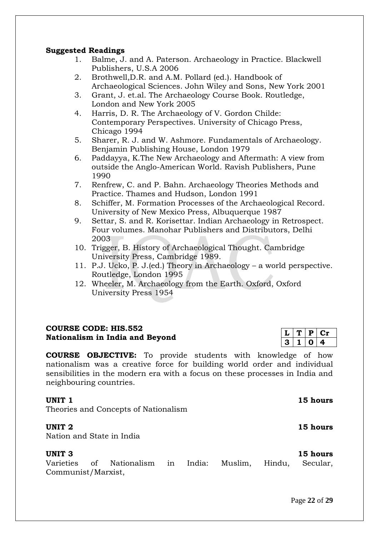### **Suggested Readings**

- 1. Balme, J. and A. Paterson. Archaeology in Practice. Blackwell Publishers, U.S.A 2006
- 2. Brothwell,D.R. and A.M. Pollard (ed.). Handbook of Archaeological Sciences. John Wiley and Sons, New York 2001
- 3. Grant, J. et.al. The Archaeology Course Book. Routledge, London and New York 2005
- 4. Harris, D. R. The Archaeology of V. Gordon Childe: Contemporary Perspectives. University of Chicago Press, Chicago 1994
- 5. Sharer, R. J. and W. Ashmore. Fundamentals of Archaeology. Benjamin Publishing House, London 1979
- 6. Paddayya, K.The New Archaeology and Aftermath: A view from outside the Anglo-American World. Ravish Publishers, Pune 1990
- 7. Renfrew, C. and P. Bahn. Archaeology Theories Methods and Practice. Thames and Hudson, London 1991
- 8. Schiffer, M. Formation Processes of the Archaeological Record. University of New Mexico Press, Albuquerque 1987
- 9. Settar, S. and R. Korisettar. Indian Archaeology in Retrospect. Four volumes. Manohar Publishers and Distributors, Delhi 2003
- 10. Trigger, B. History of Archaeological Thought. Cambridge University Press, Cambridge 1989.
- 11. P.J. Ucko, P. J.(ed.) Theory in Archaeology a world perspective. Routledge, London 1995
- 12. Wheeler, M. Archaeology from the Earth. Oxford, Oxford University Press 1954

### **COURSE CODE: HIS.552 Nationalism in India and Beyond**

**COURSE OBJECTIVE:** To provide students with knowledge of how nationalism was a creative force for building world order and individual sensibilities in the modern era with a focus on these processes in India and neighbouring countries.

### **UNIT** 1 **15 hours**

Theories and Concepts of Nationalism

#### **UNIT 2** 15 hours

Nation and State in India

### **UNIT 3** 15 hours

Varieties of Nationalism in India: Muslim, Hindu, Secular, Communist/Marxist,

|   | υ |    |
|---|---|----|
| З |   | e. |

Page **22** of **29**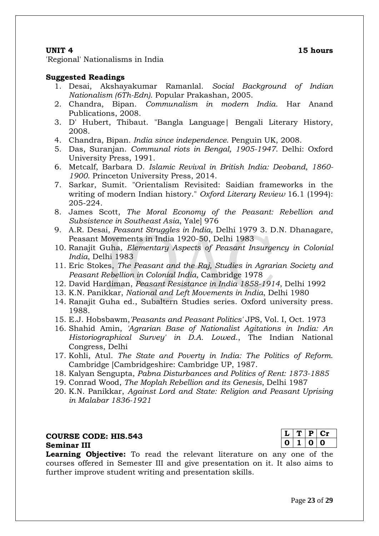'Regional' Nationalisms in India

#### **Suggested Readings**

- 1. Desai, Akshayakumar Ramanlal. *Social Background of Indian Nationalism (6Th-Edn)*. Popular Prakashan, 2005.
- 2. Chandra, Bipan. *Communalism in modern India*. Har Anand Publications, 2008.
- 3. D' Hubert, Thibaut. "Bangla Language| Bengali Literary History, 2008.
- 4. Chandra, Bipan. *India since independence*. Penguin UK, 2008.
- 5. Das, Suranjan. *Communal riots in Bengal, 1905-1947*. Delhi: Oxford University Press, 1991.
- 6. Metcalf, Barbara D. *Islamic Revival in British India: Deoband, 1860- 1900*. Princeton University Press, 2014.
- 7. Sarkar, Sumit. "Orientalism Revisited: Saidian frameworks in the writing of modern Indian history." *Oxford Literary Review* 16.1 (1994): 205-224.
- 8. James Scott, *The Moral Economy of the Peasant: Rebellion and Subsistence in Southeast Asia*, Yale] 976
- 9. A.R. Desai*, Peasant Struggles in India,* Delhi 1979 3. D.N. Dhanagare, Peasant Movements in India 1920-50, Delhi 1983
- 10. Ranajit Guha, *Elementary Aspects of Peasant Insurgency in Colonial India*, Delhi 1983
- 11. Eric Stokes, *The Peasant and the Raj, Studies in Agrarian Society and Peasant Rebellion in Colonial India,* Cambridge 1978
- 12. David Hardiman, *Peasant Resistance in India 1858-1914*, Delhi 1992
- 13. K.N. Panikkar, *National and Left Movements in India*, Delhi 1980
- 14. Ranajit Guha ed., Subaltern Studies series. Oxford university press. 1988.
- 15. E.J. Hobsbawm,*'Peasants and Peasant Politics'* JPS, Vol. I, Oct. 1973
- 16. Shahid Amin, *'Agrarian Base of Nationalist Agitations in India: An Historiographical Survey' in D.A. Lowed*., The Indian National Congress, Delhi
- 17. Kohli, Atul. *The State and Poverty in India: The Politics of Reform*. Cambridge [Cambridgeshire: Cambridge UP, 1987.
- 18. Kalyan Sengupta, *Pabna Disturbances and Politics of Rent: 1873-1885*
- 19. Conrad Wood, *The Moplah Rebellion and its Genesis*, Delhi 1987
- 20. K.N. Panikkar, *Against Lord and State: Religion and Peasant Uprising in Malabar 1836-1921*

#### **COURSE CODE: HIS.543 Seminar III**

**Learning Objective:** To read the relevant literature on any one of the courses offered in Semester III and give presentation on it. It also aims to further improve student writing and presentation skills.

|   | в.  |   |
|---|-----|---|
| ш | . . | U |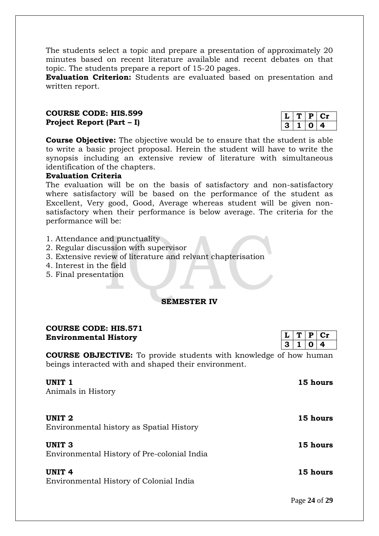The students select a topic and prepare a presentation of approximately 20 minutes based on recent literature available and recent debates on that topic. The students prepare a report of 15-20 pages.

**Evaluation Criterion:** Students are evaluated based on presentation and written report.

#### **COURSE CODE: HIS.599 Project Report (Part – I)**

|    | D. |  |
|----|----|--|
| ю, |    |  |

**Course Objective:** The objective would be to ensure that the student is able to write a basic project proposal. Herein the student will have to write the synopsis including an extensive review of literature with simultaneous identification of the chapters.

#### **Evaluation Criteria**

The evaluation will be on the basis of satisfactory and non-satisfactory where satisfactory will be based on the performance of the student as Excellent, Very good, Good, Average whereas student will be given nonsatisfactory when their performance is below average. The criteria for the performance will be:

- 1. Attendance and punctuality
- 2. Regular discussion with supervisor
- 3. Extensive review of literature and relvant chapterisation
- 4. Interest in the field
- 5. Final presentation

#### **SEMESTER IV**

#### **COURSE CODE: HIS.571 Environmental History**

**COURSE OBJECTIVE:** To provide students with knowledge of how human beings interacted with and shaped their environment.

| UNIT <sub>1</sub><br>Animals in History                          | 15 hours |
|------------------------------------------------------------------|----------|
| UNIT <sub>2</sub><br>Environmental history as Spatial History    | 15 hours |
| UNIT <sub>3</sub><br>Environmental History of Pre-colonial India | 15 hours |
| UNIT <sub>4</sub><br>Environmental History of Colonial India     | 15 hours |

Page **24** of **29**

 $T | P | Cr$  $3 | 1 | 0 | 4$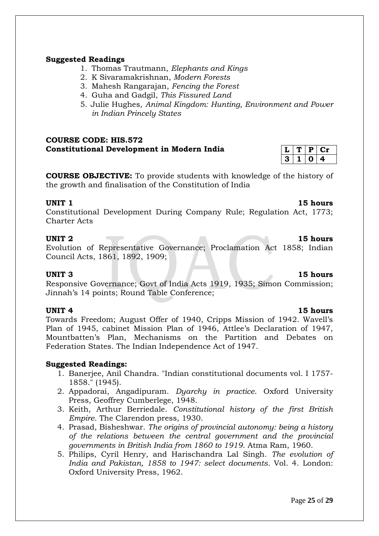## **Suggested Readings**

- 1. Thomas Trautmann, *Elephants and Kings*
- 2. K Sivaramakrishnan, *Modern Forests*
- 3. Mahesh Rangarajan, *Fencing the Forest*
- 4. Guha and Gadgil, *This Fissured Land*
- 5. Julie Hughes, *Animal Kingdom: Hunting, Environment and Power in Indian Princely States*

### **COURSE CODE: HIS.572 Constitutional Development in Modern India**

**COURSE OBJECTIVE:** To provide students with knowledge of the history of the growth and finalisation of the Constitution of India

#### **UNIT 1** 15 hours

Constitutional Development During Company Rule; Regulation Act, 1773; Charter Acts

#### **UNIT 2** 15 hours

Evolution of Representative Governance; Proclamation Act 1858; Indian Council Acts, 1861, 1892, 1909;

#### **UNIT 3 15 hours**

Responsive Governance; Govt of India Acts 1919, 1935; Simon Commission; Jinnah's 14 points; Round Table Conference;

Towards Freedom; August Offer of 1940, Cripps Mission of 1942. Wavell's Plan of 1945, cabinet Mission Plan of 1946, Attlee's Declaration of 1947, Mountbatten's Plan, Mechanisms on the Partition and Debates on Federation States. The Indian Independence Act of 1947.

### **Suggested Readings:**

- 1. Banerjee, Anil Chandra. "Indian constitutional documents vol. I 1757- 1858." (1945).
- 2. Appadorai, Angadipuram. *Dyarchy in practice*. Oxford University Press, Geoffrey Cumberlege, 1948.
- 3. Keith, Arthur Berriedale. *Constitutional history of the first British Empire*. The Clarendon press, 1930.
- 4. Prasad, Bisheshwar. *The origins of provincial autonomy: being a history of the relations between the central government and the provincial governments in British India from 1860 to 1919*. Atma Ram, 1960.
- 5. Philips, Cyril Henry, and Harischandra Lal Singh. *The evolution of India and Pakistan, 1858 to 1947: select documents*. Vol. 4. London: Oxford University Press, 1962.

 $T | P | Cr$ **3 1 0 4**

### **UNIT 4** 15 hours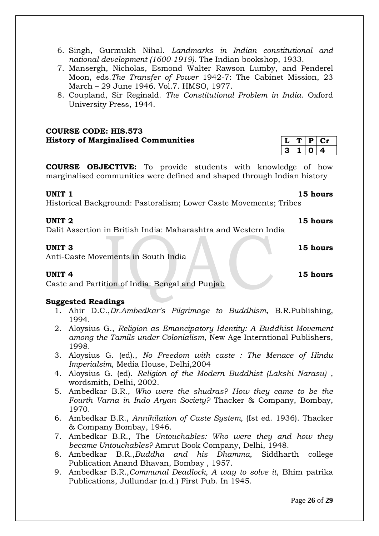- 6. Singh, Gurmukh Nihal. *Landmarks in Indian constitutional and national development (1600-1919)*. The Indian bookshop, 1933.
- 7. Mansergh, Nicholas, Esmond Walter Rawson Lumby, and Penderel Moon, eds.*The Transfer of Power* 1942-7: The Cabinet Mission, 23 March – 29 June 1946. Vol.7. HMSO, 1977.
- 8. Coupland, Sir Reginald. *The Constitutional Problem in India*. Oxford University Press, 1944.

**COURSE CODE: HIS.573 History of Marginalised Communities** 

**COURSE OBJECTIVE:** To provide students with knowledge of how marginalised communities were defined and shaped through Indian history

Historical Background: Pastoralism; Lower Caste Movements; Tribes

### **UNIT 2** 15 hours

Dalit Assertion in British India: Maharashtra and Western India

Anti-Caste Movements in South India

### **UNIT 4 15 hours**

Caste and Partition of India: Bengal and Punjab

#### **Suggested Readings**

- 1. Ahir D.C.,*Dr.Ambedkar's Pilgrimage to Buddhism*, B.R.Publishing, 1994.
- 2. Aloysius G., *Religion as Emancipatory Identity: A Buddhist Movement among the Tamils under Colonialism*, New Age Interntional Publishers, 1998.
- 3. Aloysius G. (ed)., *No Freedom with caste : The Menace of Hindu Imperialsim*, Media House, Delhi,2004
- 4. Aloysius G. (ed). *Religion of the Modern Buddhist (Lakshi Narasu)* , wordsmith, Delhi, 2002.
- 5. Ambedkar B.R., *Who were the shudras? How they came to be the Fourth Varna in Indo Aryan Society?* Thacker & Company, Bombay, 1970.
- 6. Ambedkar B.R., *Annihilation of Caste System,* (Ist ed. 1936). Thacker & Company Bombay, 1946.
- 7. Ambedkar B.R., The *Untouchables: Who were they and how they became Untouchables?* Amrut Book Company, Delhi, 1948.
- 8. Ambedkar B.R.,*Buddha and his Dhamma*, Siddharth college Publication Anand Bhavan, Bombay , 1957.
- 9. Ambedkar B.R.,*Communal Deadlock, A way to solve it*, Bhim patrika Publications, Jullundar (n.d.) First Pub. In 1945.

**UNIT 1** 15 hours

**UNIT 3** 15 hours

 $T | P | Cr$  $1 | 0 | 4$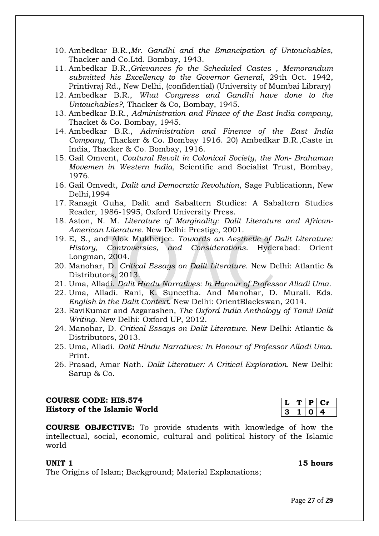- 10. Ambedkar B.R.,*Mr. Gandhi and the Emancipation of Untouchables*, Thacker and Co.Ltd. Bombay, 1943.
- 11. Ambedkar B.R.,*Grievances fo the Scheduled Castes , Memorandum submitted his Excellency to the Governor General*, 29th Oct. 1942, Printivraj Rd., New Delhi, (confidential) (University of Mumbai Library)
- 12. Ambedkar B.R., *What Congress and Gandhi have done to the Untouchables?,* Thacker & Co, Bombay, 1945.
- 13. Ambedkar B.R., *Administration and Finace of the East India company*, Thacket & Co. Bombay, 1945.
- 14. Ambedkar B.R., *Administration and Finence of the East India Company*, Thacker & Co. Bombay 1916. 20) Ambedkar B.R.,Caste in India, Thacker & Co. Bombay, 1916.
- 15. Gail Omvent, *Coutural Revolt in Colonical Society, the Non- Brahaman Movemen in Western India,* Scientific and Socialist Trust, Bombay, 1976.
- 16. Gail Omvedt, *Dalit and Democratic Revolution*, Sage Publicationn, New Delhi,1994
- 17. Ranagit Guha, Dalit and Sabaltern Studies: A Sabaltern Studies Reader, 1986-1995, Oxford University Press.
- 18. Aston, N. M. *Literature of Marginality: Dalit Literature and African-American Literature*. New Delhi: Prestige, 2001.
- 19. E, S., and Alok Mukherjee. *Towards an Aesthetic of Dalit Literature: History, Controversies, and Considerations*. Hyderabad: Orient Longman, 2004.
- 20. Manohar, D. *Critical Essays on Dalit Literature*. New Delhi: Atlantic & Distributors, 2013.
- 21. Uma, Alladi. *Dalit Hindu Narratives: In Honour of Professor Alladi Uma*.
- 22. Uma, Alladi. Rani, K. Suneetha. And Manohar, D. Murali. Eds. *English in the Dalit Context*. New Delhi: OrientBlackswan, 2014.
- 23. RaviKumar and Azgarashen*, The Oxford India Anthology of Tamil Dalit Writing*. New Delhi: Oxford UP, 2012.
- 24. Manohar, D. *Critical Essays on Dalit Literature*. New Delhi: Atlantic & Distributors, 2013.
- 25. Uma, Alladi. *Dalit Hindu Narratives: In Honour of Professor Alladi Uma*. Print.
- 26. Prasad, Amar Nath. *Dalit Literatuer: A Critical Exploration*. New Delhi: Sarup & Co.

### **COURSE CODE: HIS.574 History of the Islamic World**

**COURSE OBJECTIVE:** To provide students with knowledge of how the intellectual, social, economic, cultural and political history of the Islamic world

#### **UNIT 1** 15 hours

The Origins of Islam; Background; Material Explanations;

# **L T P Cr 3 1 0 4**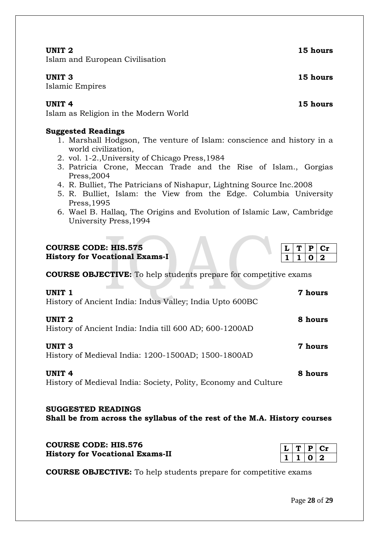$P | Cr$ **1 1 0 2**

Islam and European Civilisation

Islamic Empires

Islam as Religion in the Modern World

## **Suggested Readings**

- 1. Marshall Hodgson, The venture of Islam: conscience and history in a world civilization,
- 2. vol. 1-2.,University of Chicago Press,1984
- 3. Patricia Crone, Meccan Trade and the Rise of Islam., Gorgias Press,2004
- 4. R. Bulliet, The Patricians of Nishapur, Lightning Source Inc.2008
- 5. R. Bulliet, Islam: the View from the Edge. Columbia University Press,1995
- 6. Wael B. Hallaq, The Origins and Evolution of Islamic Law, Cambridge University Press,1994

# **COURSE CODE: HIS.575**

**History for Vocational Exams-I** 

**COURSE OBJECTIVE:** To help students prepare for competitive exams

| UNIT <sub>1</sub><br>History of Ancient India: Indus Valley; India Upto 600BC    |         |  |  |
|----------------------------------------------------------------------------------|---------|--|--|
| UNIT <sub>2</sub><br>History of Ancient India: India till 600 AD; 600-1200AD     | 8 hours |  |  |
| <b>UNIT 3</b><br>History of Medieval India: 1200-1500AD; 1500-1800AD             | 7 hours |  |  |
| <b>UNIT 4</b><br>History of Medieval India: Society, Polity, Economy and Culture | 8 hours |  |  |

### **SUGGESTED READINGS Shall be from across the syllabus of the rest of the M.A. History courses**

| <b>COURSE CODE: HIS.576</b>            |  |
|----------------------------------------|--|
| <b>History for Vocational Exams-II</b> |  |

**COURSE OBJECTIVE:** To help students prepare for competitive exams

**UNIT 2** 15 hours

**UNIT 3** 15 hours

**UNIT 4** 15 hours

 $L | T | P | Cr$ 

 $0 \mid 2$